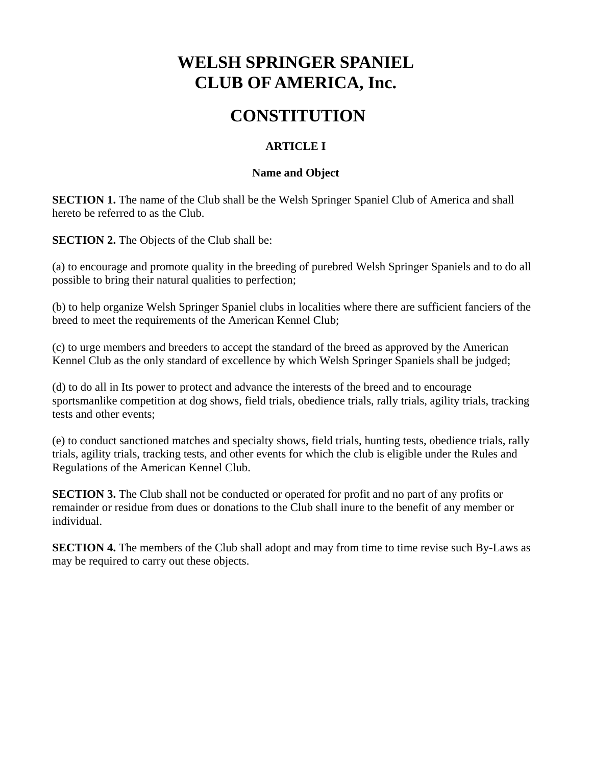# **WELSH SPRINGER SPANIEL CLUB OF AMERICA, Inc.**

# **CONSTITUTION**

## **ARTICLE I**

### **Name and Object**

**SECTION 1.** The name of the Club shall be the Welsh Springer Spaniel Club of America and shall hereto be referred to as the Club.

**SECTION 2.** The Objects of the Club shall be:

(a) to encourage and promote quality in the breeding of purebred Welsh Springer Spaniels and to do all possible to bring their natural qualities to perfection;

(b) to help organize Welsh Springer Spaniel clubs in localities where there are sufficient fanciers of the breed to meet the requirements of the American Kennel Club;

(c) to urge members and breeders to accept the standard of the breed as approved by the American Kennel Club as the only standard of excellence by which Welsh Springer Spaniels shall be judged;

(d) to do all in Its power to protect and advance the interests of the breed and to encourage sportsmanlike competition at dog shows, field trials, obedience trials, rally trials, agility trials, tracking tests and other events;

(e) to conduct sanctioned matches and specialty shows, field trials, hunting tests, obedience trials, rally trials, agility trials, tracking tests, and other events for which the club is eligible under the Rules and Regulations of the American Kennel Club.

**SECTION 3.** The Club shall not be conducted or operated for profit and no part of any profits or remainder or residue from dues or donations to the Club shall inure to the benefit of any member or individual.

**SECTION 4.** The members of the Club shall adopt and may from time to time revise such By-Laws as may be required to carry out these objects.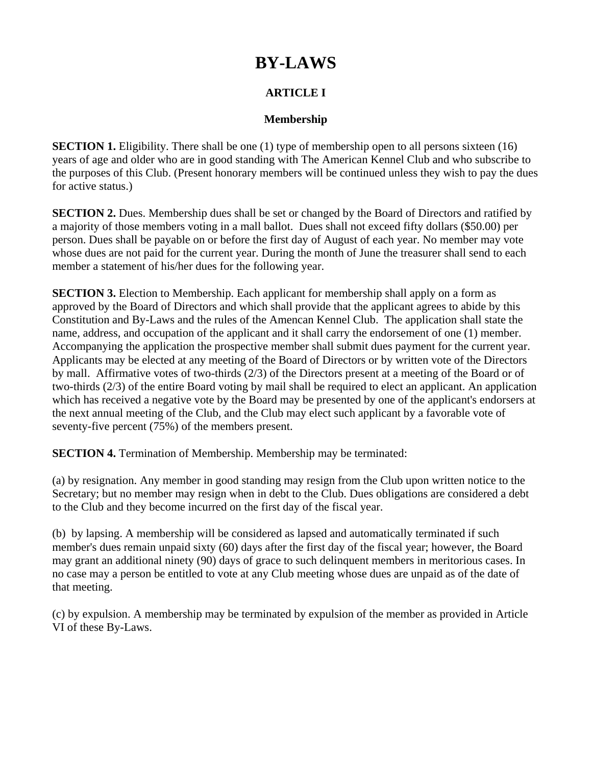# **BY-LAWS**

# **ARTICLE I**

## **Membership**

**SECTION 1.** Eligibility. There shall be one (1) type of membership open to all persons sixteen (16) years of age and older who are in good standing with The American Kennel Club and who subscribe to the purposes of this Club. (Present honorary members will be continued unless they wish to pay the dues for active status.)

**SECTION 2.** Dues. Membership dues shall be set or changed by the Board of Directors and ratified by a majority of those members voting in a mall ballot. Dues shall not exceed fifty dollars (\$50.00) per person. Dues shall be payable on or before the first day of August of each year. No member may vote whose dues are not paid for the current year. During the month of June the treasurer shall send to each member a statement of his/her dues for the following year.

**SECTION 3.** Election to Membership. Each applicant for membership shall apply on a form as approved by the Board of Directors and which shall provide that the applicant agrees to abide by this Constitution and By-Laws and the rules of the Amencan Kennel Club. The application shall state the name, address, and occupation of the applicant and it shall carry the endorsement of one (1) member. Accompanying the application the prospective member shall submit dues payment for the current year. Applicants may be elected at any meeting of the Board of Directors or by written vote of the Directors by mall. Affirmative votes of two-thirds (2/3) of the Directors present at a meeting of the Board or of two-thirds (2/3) of the entire Board voting by mail shall be required to elect an applicant. An application which has received a negative vote by the Board may be presented by one of the applicant's endorsers at the next annual meeting of the Club, and the Club may elect such applicant by a favorable vote of seventy-five percent (75%) of the members present.

**SECTION 4.** Termination of Membership. Membership may be terminated:

(a) by resignation. Any member in good standing may resign from the Club upon written notice to the Secretary; but no member may resign when in debt to the Club. Dues obligations are considered a debt to the Club and they become incurred on the first day of the fiscal year.

(b) by lapsing. A membership will be considered as lapsed and automatically terminated if such member's dues remain unpaid sixty (60) days after the first day of the fiscal year; however, the Board may grant an additional ninety (90) days of grace to such delinquent members in meritorious cases. In no case may a person be entitled to vote at any Club meeting whose dues are unpaid as of the date of that meeting.

(c) by expulsion. A membership may be terminated by expulsion of the member as provided in Article VI of these By-Laws.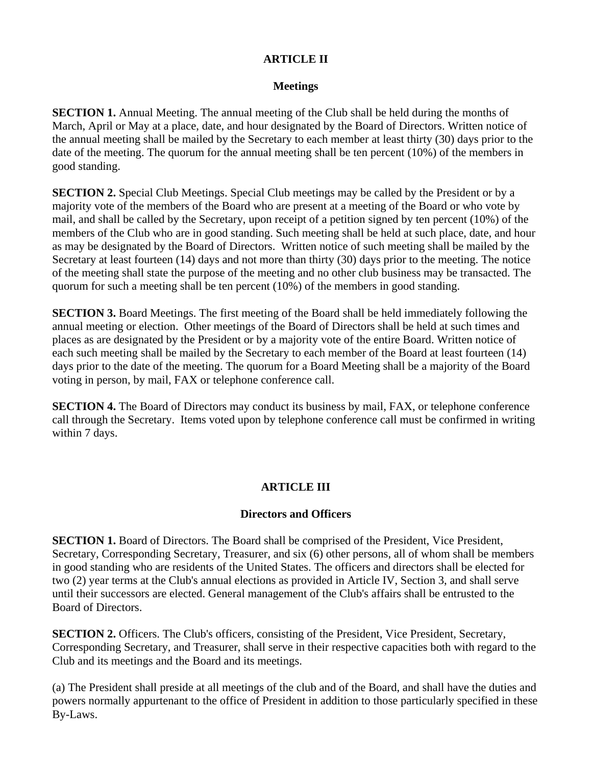## **ARTICLE II**

### **Meetings**

**SECTION 1.** Annual Meeting. The annual meeting of the Club shall be held during the months of March, April or May at a place, date, and hour designated by the Board of Directors. Written notice of the annual meeting shall be mailed by the Secretary to each member at least thirty (30) days prior to the date of the meeting. The quorum for the annual meeting shall be ten percent (10%) of the members in good standing.

**SECTION 2.** Special Club Meetings. Special Club meetings may be called by the President or by a majority vote of the members of the Board who are present at a meeting of the Board or who vote by mail, and shall be called by the Secretary, upon receipt of a petition signed by ten percent (10%) of the members of the Club who are in good standing. Such meeting shall be held at such place, date, and hour as may be designated by the Board of Directors. Written notice of such meeting shall be mailed by the Secretary at least fourteen (14) days and not more than thirty (30) days prior to the meeting. The notice of the meeting shall state the purpose of the meeting and no other club business may be transacted. The quorum for such a meeting shall be ten percent (10%) of the members in good standing.

**SECTION 3.** Board Meetings. The first meeting of the Board shall be held immediately following the annual meeting or election. Other meetings of the Board of Directors shall be held at such times and places as are designated by the President or by a majority vote of the entire Board. Written notice of each such meeting shall be mailed by the Secretary to each member of the Board at least fourteen (14) days prior to the date of the meeting. The quorum for a Board Meeting shall be a majority of the Board voting in person, by mail, FAX or telephone conference call.

**SECTION 4.** The Board of Directors may conduct its business by mail, FAX, or telephone conference call through the Secretary. Items voted upon by telephone conference call must be confirmed in writing within 7 days.

## **ARTICLE III**

## **Directors and Officers**

**SECTION 1.** Board of Directors. The Board shall be comprised of the President, Vice President, Secretary, Corresponding Secretary, Treasurer, and six (6) other persons, all of whom shall be members in good standing who are residents of the United States. The officers and directors shall be elected for two (2) year terms at the Club's annual elections as provided in Article IV, Section 3, and shall serve until their successors are elected. General management of the Club's affairs shall be entrusted to the Board of Directors.

**SECTION 2.** Officers. The Club's officers, consisting of the President, Vice President, Secretary, Corresponding Secretary, and Treasurer, shall serve in their respective capacities both with regard to the Club and its meetings and the Board and its meetings.

(a) The President shall preside at all meetings of the club and of the Board, and shall have the duties and powers normally appurtenant to the office of President in addition to those particularly specified in these By-Laws.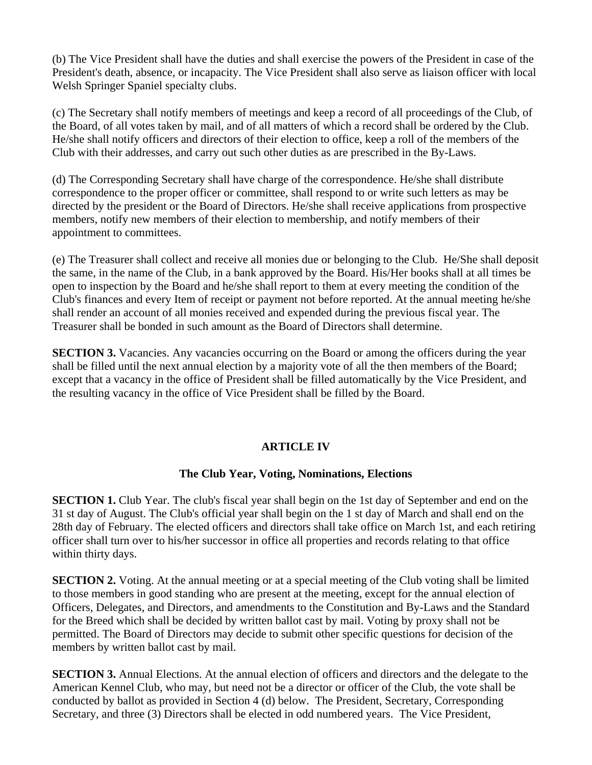(b) The Vice President shall have the duties and shall exercise the powers of the President in case of the President's death, absence, or incapacity. The Vice President shall also serve as liaison officer with local Welsh Springer Spaniel specialty clubs.

(c) The Secretary shall notify members of meetings and keep a record of all proceedings of the Club, of the Board, of all votes taken by mail, and of all matters of which a record shall be ordered by the Club. He/she shall notify officers and directors of their election to office, keep a roll of the members of the Club with their addresses, and carry out such other duties as are prescribed in the By-Laws.

(d) The Corresponding Secretary shall have charge of the correspondence. He/she shall distribute correspondence to the proper officer or committee, shall respond to or write such letters as may be directed by the president or the Board of Directors. He/she shall receive applications from prospective members, notify new members of their election to membership, and notify members of their appointment to committees.

(e) The Treasurer shall collect and receive all monies due or belonging to the Club. He/She shall deposit the same, in the name of the Club, in a bank approved by the Board. His/Her books shall at all times be open to inspection by the Board and he/she shall report to them at every meeting the condition of the Club's finances and every Item of receipt or payment not before reported. At the annual meeting he/she shall render an account of all monies received and expended during the previous fiscal year. The Treasurer shall be bonded in such amount as the Board of Directors shall determine.

**SECTION 3.** Vacancies. Any vacancies occurring on the Board or among the officers during the year shall be filled until the next annual election by a majority vote of all the then members of the Board; except that a vacancy in the office of President shall be filled automatically by the Vice President, and the resulting vacancy in the office of Vice President shall be filled by the Board.

## **ARTICLE IV**

## **The Club Year, Voting, Nominations, Elections**

**SECTION 1.** Club Year. The club's fiscal year shall begin on the 1st day of September and end on the 31 st day of August. The Club's official year shall begin on the 1 st day of March and shall end on the 28th day of February. The elected officers and directors shall take office on March 1st, and each retiring officer shall turn over to his/her successor in office all properties and records relating to that office within thirty days.

**SECTION 2.** Voting. At the annual meeting or at a special meeting of the Club voting shall be limited to those members in good standing who are present at the meeting, except for the annual election of Officers, Delegates, and Directors, and amendments to the Constitution and By-Laws and the Standard for the Breed which shall be decided by written ballot cast by mail. Voting by proxy shall not be permitted. The Board of Directors may decide to submit other specific questions for decision of the members by written ballot cast by mail.

**SECTION 3.** Annual Elections. At the annual election of officers and directors and the delegate to the American Kennel Club, who may, but need not be a director or officer of the Club, the vote shall be conducted by ballot as provided in Section 4 (d) below. The President, Secretary, Corresponding Secretary, and three (3) Directors shall be elected in odd numbered years. The Vice President,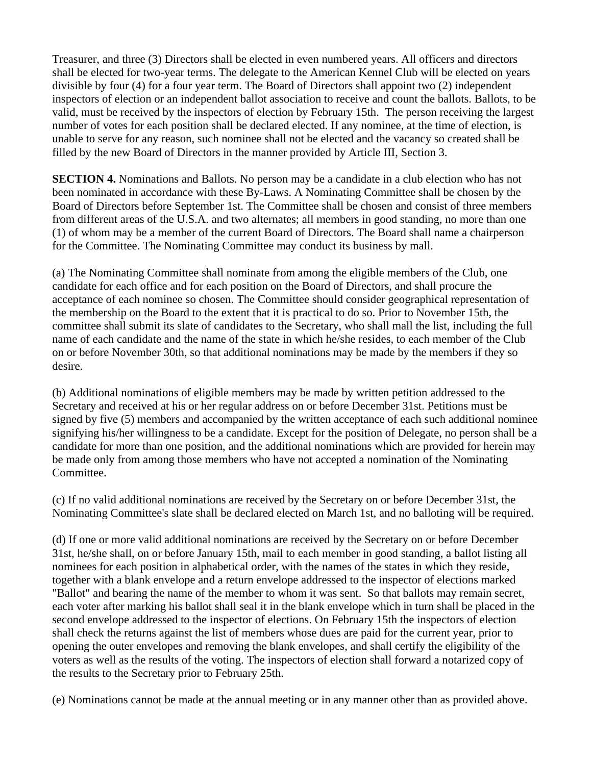Treasurer, and three (3) Directors shall be elected in even numbered years. All officers and directors shall be elected for two-year terms. The delegate to the American Kennel Club will be elected on years divisible by four (4) for a four year term. The Board of Directors shall appoint two (2) independent inspectors of election or an independent ballot association to receive and count the ballots. Ballots, to be valid, must be received by the inspectors of election by February 15th. The person receiving the largest number of votes for each position shall be declared elected. If any nominee, at the time of election, is unable to serve for any reason, such nominee shall not be elected and the vacancy so created shall be filled by the new Board of Directors in the manner provided by Article III, Section 3.

**SECTION 4.** Nominations and Ballots. No person may be a candidate in a club election who has not been nominated in accordance with these By-Laws. A Nominating Committee shall be chosen by the Board of Directors before September 1st. The Committee shall be chosen and consist of three members from different areas of the U.S.A. and two alternates; all members in good standing, no more than one (1) of whom may be a member of the current Board of Directors. The Board shall name a chairperson for the Committee. The Nominating Committee may conduct its business by mall.

(a) The Nominating Committee shall nominate from among the eligible members of the Club, one candidate for each office and for each position on the Board of Directors, and shall procure the acceptance of each nominee so chosen. The Committee should consider geographical representation of the membership on the Board to the extent that it is practical to do so. Prior to November 15th, the committee shall submit its slate of candidates to the Secretary, who shall mall the list, including the full name of each candidate and the name of the state in which he/she resides, to each member of the Club on or before November 30th, so that additional nominations may be made by the members if they so desire.

(b) Additional nominations of eligible members may be made by written petition addressed to the Secretary and received at his or her regular address on or before December 31st. Petitions must be signed by five (5) members and accompanied by the written acceptance of each such additional nominee signifying his/her willingness to be a candidate. Except for the position of Delegate, no person shall be a candidate for more than one position, and the additional nominations which are provided for herein may be made only from among those members who have not accepted a nomination of the Nominating Committee.

(c) If no valid additional nominations are received by the Secretary on or before December 31st, the Nominating Committee's slate shall be declared elected on March 1st, and no balloting will be required.

(d) If one or more valid additional nominations are received by the Secretary on or before December 31st, he/she shall, on or before January 15th, mail to each member in good standing, a ballot listing all nominees for each position in alphabetical order, with the names of the states in which they reside, together with a blank envelope and a return envelope addressed to the inspector of elections marked "Ballot" and bearing the name of the member to whom it was sent. So that ballots may remain secret, each voter after marking his ballot shall seal it in the blank envelope which in turn shall be placed in the second envelope addressed to the inspector of elections. On February 15th the inspectors of election shall check the returns against the list of members whose dues are paid for the current year, prior to opening the outer envelopes and removing the blank envelopes, and shall certify the eligibility of the voters as well as the results of the voting. The inspectors of election shall forward a notarized copy of the results to the Secretary prior to February 25th.

(e) Nominations cannot be made at the annual meeting or in any manner other than as provided above.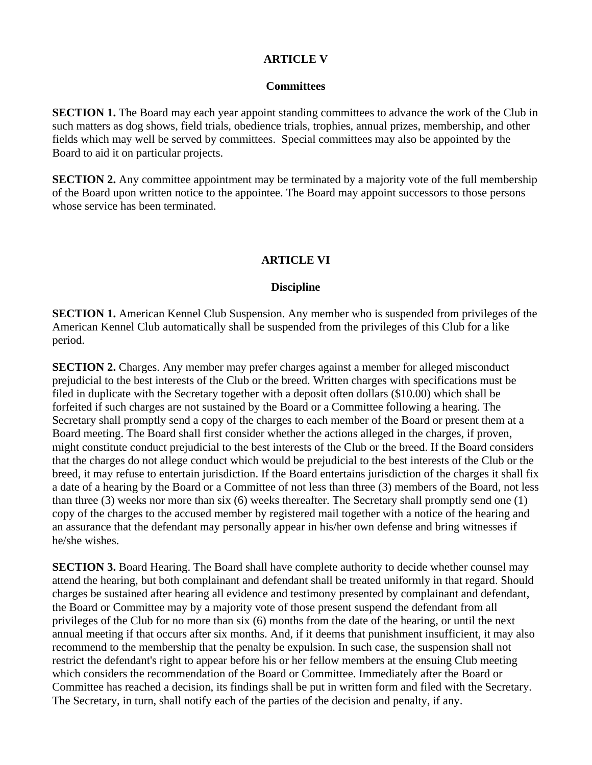### **ARTICLE V**

#### **Committees**

**SECTION 1.** The Board may each year appoint standing committees to advance the work of the Club in such matters as dog shows, field trials, obedience trials, trophies, annual prizes, membership, and other fields which may well be served by committees. Special committees may also be appointed by the Board to aid it on particular projects.

**SECTION 2.** Any committee appointment may be terminated by a majority vote of the full membership of the Board upon written notice to the appointee. The Board may appoint successors to those persons whose service has been terminated.

## **ARTICLE VI**

#### **Discipline**

**SECTION 1.** American Kennel Club Suspension. Any member who is suspended from privileges of the American Kennel Club automatically shall be suspended from the privileges of this Club for a like period.

**SECTION 2.** Charges. Any member may prefer charges against a member for alleged misconduct prejudicial to the best interests of the Club or the breed. Written charges with specifications must be filed in duplicate with the Secretary together with a deposit often dollars (\$10.00) which shall be forfeited if such charges are not sustained by the Board or a Committee following a hearing. The Secretary shall promptly send a copy of the charges to each member of the Board or present them at a Board meeting. The Board shall first consider whether the actions alleged in the charges, if proven, might constitute conduct prejudicial to the best interests of the Club or the breed. If the Board considers that the charges do not allege conduct which would be prejudicial to the best interests of the Club or the breed, it may refuse to entertain jurisdiction. If the Board entertains jurisdiction of the charges it shall fix a date of a hearing by the Board or a Committee of not less than three (3) members of the Board, not less than three (3) weeks nor more than six (6) weeks thereafter. The Secretary shall promptly send one (1) copy of the charges to the accused member by registered mail together with a notice of the hearing and an assurance that the defendant may personally appear in his/her own defense and bring witnesses if he/she wishes.

**SECTION 3.** Board Hearing. The Board shall have complete authority to decide whether counsel may attend the hearing, but both complainant and defendant shall be treated uniformly in that regard. Should charges be sustained after hearing all evidence and testimony presented by complainant and defendant, the Board or Committee may by a majority vote of those present suspend the defendant from all privileges of the Club for no more than six (6) months from the date of the hearing, or until the next annual meeting if that occurs after six months. And, if it deems that punishment insufficient, it may also recommend to the membership that the penalty be expulsion. In such case, the suspension shall not restrict the defendant's right to appear before his or her fellow members at the ensuing Club meeting which considers the recommendation of the Board or Committee. Immediately after the Board or Committee has reached a decision, its findings shall be put in written form and filed with the Secretary. The Secretary, in turn, shall notify each of the parties of the decision and penalty, if any.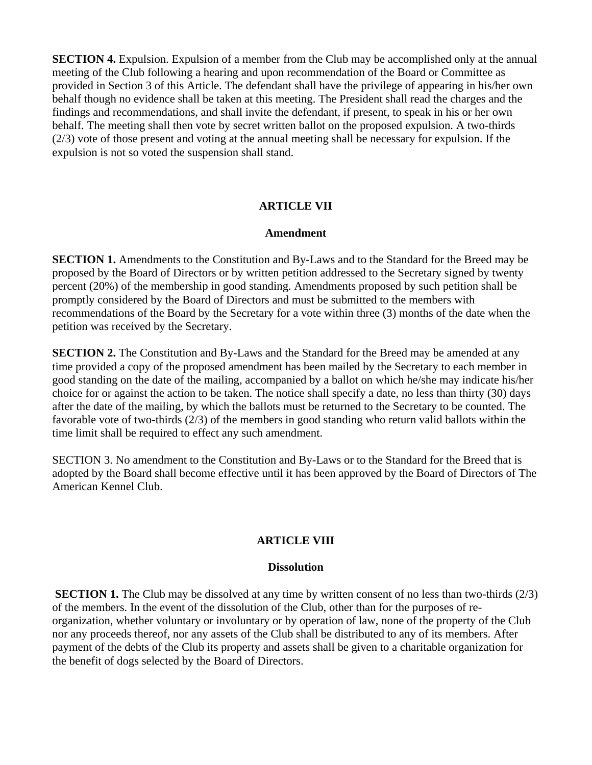**SECTION 4.** Expulsion. Expulsion of a member from the Club may be accomplished only at the annual meeting of the Club following a hearing and upon recommendation of the Board or Committee as provided in Section 3 of this Article. The defendant shall have the privilege of appearing in his/her own behalf though no evidence shall be taken at this meeting. The President shall read the charges and the findings and recommendations, and shall invite the defendant, if present, to speak in his or her own behalf. The meeting shall then vote by secret written ballot on the proposed expulsion. A two-thirds (2/3) vote of those present and voting at the annual meeting shall be necessary for expulsion. If the expulsion is not so voted the suspension shall stand.

#### **ARTICLE VII**

#### **Amendment**

**SECTION 1.** Amendments to the Constitution and By-Laws and to the Standard for the Breed may be proposed by the Board of Directors or by written petition addressed to the Secretary signed by twenty percent (20%) of the membership in good standing. Amendments proposed by such petition shall be promptly considered by the Board of Directors and must be submitted to the members with recommendations of the Board by the Secretary for a vote within three (3) months of the date when the petition was received by the Secretary.

**SECTION 2.** The Constitution and By-Laws and the Standard for the Breed may be amended at any time provided a copy of the proposed amendment has been mailed by the Secretary to each member in good standing on the date of the mailing, accompanied by a ballot on which he/she may indicate his/her choice for or against the action to be taken. The notice shall specify a date, no less than thirty (30) days after the date of the mailing, by which the ballots must be returned to the Secretary to be counted. The favorable vote of two-thirds (2/3) of the members in good standing who return valid ballots within the time limit shall be required to effect any such amendment.

SECTION 3. No amendment to the Constitution and By-Laws or to the Standard for the Breed that is adopted by the Board shall become effective until it has been approved by the Board of Directors of The American Kennel Club.

#### **ARTICLE VIII**

#### **Dissolution**

**SECTION 1.** The Club may be dissolved at any time by written consent of no less than two-thirds (2/3) of the members. In the event of the dissolution of the Club, other than for the purposes of reorganization, whether voluntary or involuntary or by operation of law, none of the property of the Club nor any proceeds thereof, nor any assets of the Club shall be distributed to any of its members. After payment of the debts of the Club its property and assets shall be given to a charitable organization for the benefit of dogs selected by the Board of Directors.